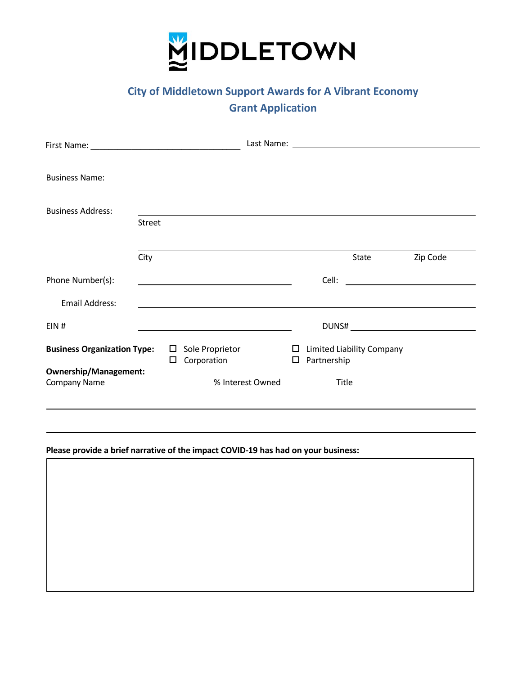

# **City of Middletown Support Awards for A Vibrant Economy Grant Application**

| <b>Business Name:</b>                        |               |             |                                                                                                                                                                                                                               |                  |                       |                                  |                                                                                                                                                                                                                                      |
|----------------------------------------------|---------------|-------------|-------------------------------------------------------------------------------------------------------------------------------------------------------------------------------------------------------------------------------|------------------|-----------------------|----------------------------------|--------------------------------------------------------------------------------------------------------------------------------------------------------------------------------------------------------------------------------------|
| <b>Business Address:</b>                     | <b>Street</b> |             |                                                                                                                                                                                                                               |                  |                       |                                  |                                                                                                                                                                                                                                      |
|                                              | City          |             |                                                                                                                                                                                                                               |                  |                       | State                            | Zip Code                                                                                                                                                                                                                             |
| Phone Number(s):                             |               |             |                                                                                                                                                                                                                               |                  |                       |                                  | Cell: <u>Celling and the contract of the contract of the contract of the contract of the contract of the contract of the contract of the contract of the contract of the contract of the contract of the contract of the contrac</u> |
| <b>Email Address:</b>                        |               |             |                                                                                                                                                                                                                               |                  |                       |                                  |                                                                                                                                                                                                                                      |
| EIN#                                         |               |             | the control of the control of the control of the control of the control of the control of the control of the control of the control of the control of the control of the control of the control of the control of the control |                  |                       |                                  |                                                                                                                                                                                                                                      |
| <b>Business Organization Type:</b>           |               | $\Box$<br>0 | Sole Proprietor<br>Corporation                                                                                                                                                                                                |                  | $\square$ Partnership | $\Box$ Limited Liability Company |                                                                                                                                                                                                                                      |
| <b>Ownership/Management:</b><br>Company Name |               |             |                                                                                                                                                                                                                               | % Interest Owned | Title                 |                                  |                                                                                                                                                                                                                                      |
|                                              |               |             |                                                                                                                                                                                                                               |                  |                       |                                  |                                                                                                                                                                                                                                      |

## **Please provide a brief narrative of the impact COVID-19 has had on your business:**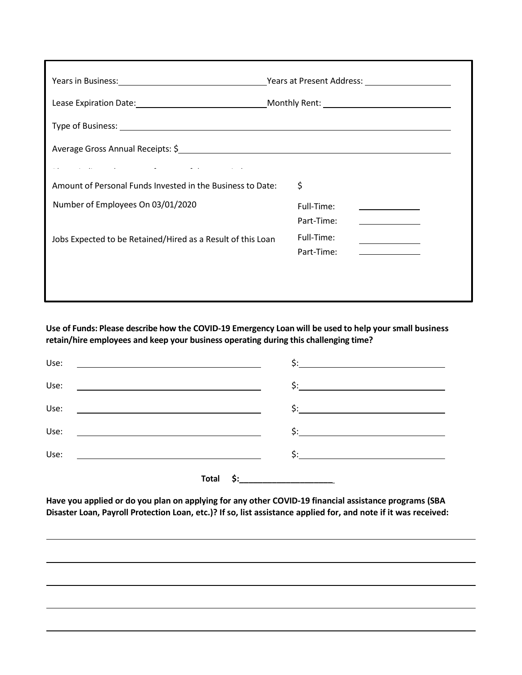|                                                                                                                                                     | Years at Present Address: Nearly Management Address: |
|-----------------------------------------------------------------------------------------------------------------------------------------------------|------------------------------------------------------|
|                                                                                                                                                     |                                                      |
|                                                                                                                                                     |                                                      |
| Average Gross Annual Receipts: \$<br>1920 120 2012 120 2022 120 2022 120 2022 120 2023 120 2024 120 2022 120 2022 120 2022 120 2022 120 2022 120 20 |                                                      |
| and the second control of the second control of the second control of the second control of the second control of                                   |                                                      |
| Amount of Personal Funds Invested in the Business to Date:                                                                                          | \$                                                   |
| Number of Employees On 03/01/2020                                                                                                                   | Full-Time:                                           |
|                                                                                                                                                     | Part-Time:                                           |
| Jobs Expected to be Retained/Hired as a Result of this Loan                                                                                         | Full-Time:                                           |
|                                                                                                                                                     | Part-Time:                                           |
|                                                                                                                                                     |                                                      |
|                                                                                                                                                     |                                                      |

**Use of Funds: Please describe how the COVID-19 Emergency Loan will be used to help your small business retain/hire employees and keep your business operating during this challenging time?**

| Use: | <u> 1980 - Johann John Stein, fransk politik (f. 1980)</u>                                                          | $\frac{1}{2}$ :            |
|------|---------------------------------------------------------------------------------------------------------------------|----------------------------|
| Use: | <u> 1980 - Andrea Andrew Maria (h. 1980).</u>                                                                       |                            |
| Use: | <u> 1980 - Johann Stoff, amerikansk politiker (</u>                                                                 |                            |
| Use: | <u> 1990 - John Harry Harry Harry Harry Harry Harry Harry Harry Harry Harry Harry Harry Harry Harry Harry Harry</u> |                            |
| Use: |                                                                                                                     |                            |
|      | Total                                                                                                               | \$:_______________________ |

**Have you applied or do you plan on applying for any other COVID-19 financial assistance programs (SBA** Disaster Loan, Payroll Protection Loan, etc.)? If so, list assistance applied for, and note if it was received: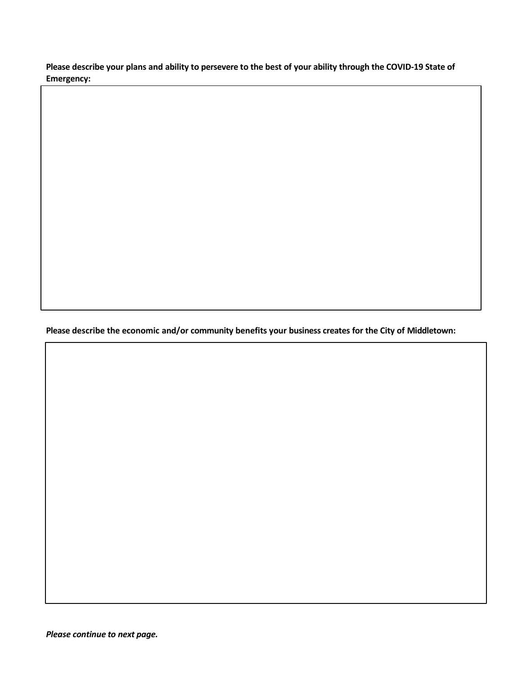**Please describe your plans and ability to persevere to the best of your ability through the COVID-19 State of Emergency:**

**Please describe the economic and/or community benefits your business creates for the City of Middletown:**